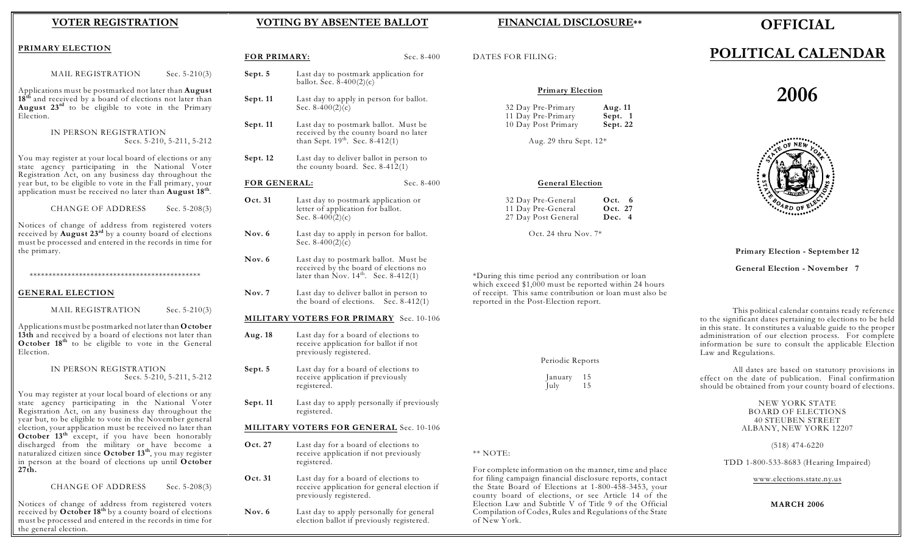#### **VOTER REGISTRATION**

#### **VOTING BY ABSENTEE BALLOT**

#### **FINANCIAL DISCLOSURE\*\***

## **OFFICIAL**

# **POLITICAL CALENDAR**

# **2006**



#### **Primary Election - September 12**

**General Election - November 7**

This political calendar contains ready reference to the significant dates pertaining to elections to be held in this state. It constitutes a valuable guide to the proper administration of our election process. For complete information be sure to consult the applicable Election Law and Regulations.

All dates are based on statutory provisions in effect on the date of publication. Final confirmation should be obtained from your county board of elections.

> NEW YORK STATE BOARD OF ELECTIONS 40 STEUBEN STREET ALBANY, NEW YORK 12207

> > (518) 474-6220

TDD 1-800-533-8683 (Hearing Impaired)

[www.elections.state.ny.us](http://www.elections.state.ny.us)

#### **MARCH 2006**

#### **PRIMARY ELECTION**

| MAIL REGISTRATION | Sec. $5-210(3)$ |
|-------------------|-----------------|
|-------------------|-----------------|

Applications must be postmarked not later than **August** 18<sup>th</sup> and received by a board of elections not later than August 23<sup>rd</sup> to be eligible to vote in the Primary Election.

#### IN PERSON REGISTRATION Secs. 5-210, 5-211, 5-212

You may register at your local board of elections or any state agency participating in the National Voter Registration Act, on any business day throughout the year but, to be eligible to vote in the Fall primary, your application must be received no later than **August 18th**.

CHANGE OF ADDRESS Sec. 5-208(3)

Notices of change of address from registered voters received by **August 23<sup>rd</sup>** by a county board of elections must be processed and entered in the records in time for the primary.

\*\*\*\*\*\*\*\*\*\*\*\*\*\*\*\*\*\*\*\*\*\*\*\*\*\*\*\*\*\*\*\*\*\*\*\*\*\*\*\*\*\*\*\*\*

#### **GENERAL ELECTION**

MAIL REGISTRATION Sec. 5-210(3)

Applications must be postmarked not later than **October 13th** and received by a board of elections not later than **October 18<sup>th</sup>** to be eligible to vote in the General Election.

#### IN PERSON REGISTRATION Secs. 5-210, 5-211, 5-212

You may register at your local board of elections or any state agency participating in the National Voter Registration Act, on any business day throughout the year but, to be eligible to vote in the November general election, your application must be received no later than **October 13<sup>th</sup>** except, if you have been honorably discharged from the military or have become a naturalized citizen since October 13<sup>th</sup>, you may register in person at the board of elections up until **October 27th.**

CHANGE OF ADDRESS Sec. 5-208(3)

Notices of change of address from registered voters received by **October 18** by a county board of elections **th** must be processed and entered in the records in time for the general election.

| FOR PRIMARY:        |                                                                                                                                   | Sec. $8-400$ | D,                                 |
|---------------------|-----------------------------------------------------------------------------------------------------------------------------------|--------------|------------------------------------|
| Sept. 5             | Last day to postmark application for<br>ballot. Sec. $8-400(2)(c)$                                                                |              |                                    |
| Sept. 11            | Last day to apply in person for ballot.<br>Sec. $8-400(2)(c)$                                                                     |              |                                    |
| Sept. 11            | Last day to postmark ballot. Must be<br>received by the county board no later<br>than Sept. 19 <sup>th</sup> . Sec. 8-412(1)      |              |                                    |
| Sept. 12            | Last day to deliver ballot in person to<br>the county board. Sec. $8-412(1)$                                                      |              |                                    |
| <b>FOR GENERAL:</b> |                                                                                                                                   | Sec. $8-400$ |                                    |
| Oct. 31             | Last day to postmark application or<br>letter of application for ballot.<br>Sec. $8-400(2)$ (c)                                   |              |                                    |
| Nov. 6              | Last day to apply in person for ballot.<br>Sec. $8-400(2)(c)$                                                                     |              |                                    |
| Nov. 6              | Last day to postmark ballot. Must be<br>received by the board of elections no<br>later than Nov. $14^{\text{th}}$ . Sec. 8-412(1) |              | $\rm ^*D$                          |
| Nov. 7              | Last day to deliver ballot in person to<br>the board of elections. Sec. $8-412(1)$                                                |              | wŀ<br>оf<br>rep                    |
|                     | <b>MILITARY VOTERS FOR PRIMARY</b> Sec. 10-106                                                                                    |              |                                    |
| Aug. 18             | Last day for a board of elections to<br>receive application for ballot if not<br>previously registered.                           |              |                                    |
| Sept. 5             | Last day for a board of elections to<br>receive application if previously<br>registered.                                          |              |                                    |
| Sept. 11            | Last day to apply personally if previously<br>registered.                                                                         |              |                                    |
|                     | <b>MILITARY VOTERS FOR GENERAL Sec. 10-106</b>                                                                                    |              |                                    |
| Oct. 27             | Last day for a board of elections to<br>receive application if not previously<br>registered.                                      |              | $**$                               |
| Oct. 31             | Last day for a board of elections to<br>receive application for general election if<br>previously registered.                     |              | Fo<br>fo1<br>th<br>CO <sup>2</sup> |

Nov. 6 Last day to apply personally for general election ballot if previously registered.

ATES FOR FILING:

#### **Primary Election**

| 32 Day Pre-Primary  | Aug. 11  |
|---------------------|----------|
| 11 Day Pre-Primary  | Sept. 1  |
| 10 Day Post Primary | Sept. 22 |

Aug. 29 thru Sept. 12\*

#### **General Election**

| 32 Day Pre-General  | Oct. $6$ |
|---------------------|----------|
| 11 Day Pre-General  | Oct. 27  |
| 27 Day Post General | Dec. 4   |

Oct. 24 thru Nov. 7\*

During this time period any contribution or loan hich exceed  $$1,000$  must be reported within 24 hours receipt. This same contribution or loan must also be ported in the Post-Election report.

NOTE:

or complete information on the manner, time and place for filing campaign financial disclosure reports, contact the State Board of Elections at 1-800-458-3453, your county board of elections, or see Article 14 of the Election Law and Subtitle V of Title 9 of the Official Compilation of Codes, Rules and Regulations of the State of New York.

Periodic Reports

January 15 Iuly